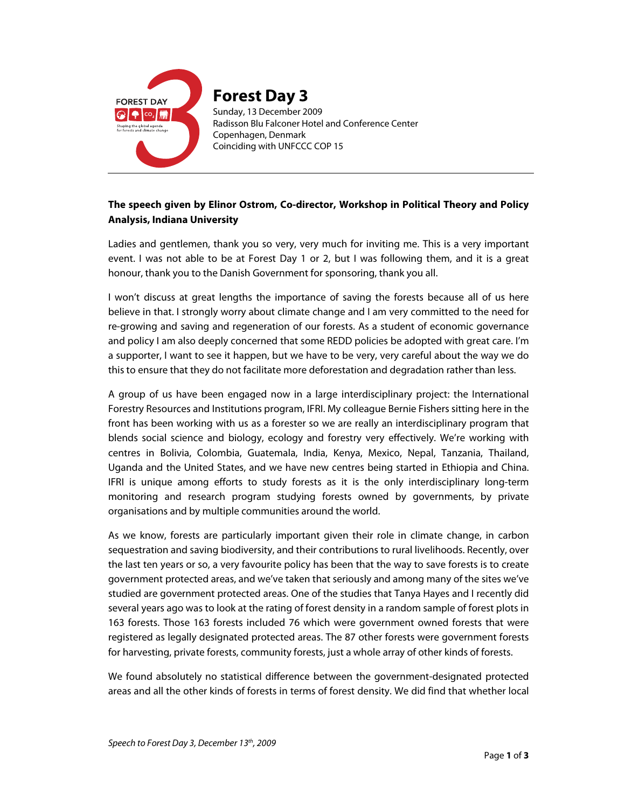

## **The speech given by Elinor Ostrom, Co-director, Workshop in Political Theory and Policy Analysis, Indiana University**

Ladies and gentlemen, thank you so very, very much for inviting me. This is a very important event. I was not able to be at Forest Day 1 or 2, but I was following them, and it is a great honour, thank you to the Danish Government for sponsoring, thank you all.

I won't discuss at great lengths the importance of saving the forests because all of us here believe in that. I strongly worry about climate change and I am very committed to the need for re-growing and saving and regeneration of our forests. As a student of economic governance and policy I am also deeply concerned that some REDD policies be adopted with great care. I'm a supporter, I want to see it happen, but we have to be very, very careful about the way we do this to ensure that they do not facilitate more deforestation and degradation rather than less.

A group of us have been engaged now in a large interdisciplinary project: the International Forestry Resources and Institutions program, IFRI. My colleague Bernie Fishers sitting here in the front has been working with us as a forester so we are really an interdisciplinary program that blends social science and biology, ecology and forestry very effectively. We're working with centres in Bolivia, Colombia, Guatemala, India, Kenya, Mexico, Nepal, Tanzania, Thailand, Uganda and the United States, and we have new centres being started in Ethiopia and China. IFRI is unique among efforts to study forests as it is the only interdisciplinary long-term monitoring and research program studying forests owned by governments, by private organisations and by multiple communities around the world.

As we know, forests are particularly important given their role in climate change, in carbon sequestration and saving biodiversity, and their contributions to rural livelihoods. Recently, over the last ten years or so, a very favourite policy has been that the way to save forests is to create government protected areas, and we've taken that seriously and among many of the sites we've studied are government protected areas. One of the studies that Tanya Hayes and I recently did several years ago was to look at the rating of forest density in a random sample of forest plots in 163 forests. Those 163 forests included 76 which were government owned forests that were registered as legally designated protected areas. The 87 other forests were government forests for harvesting, private forests, community forests, just a whole array of other kinds of forests.

We found absolutely no statistical difference between the government-designated protected areas and all the other kinds of forests in terms of forest density. We did find that whether local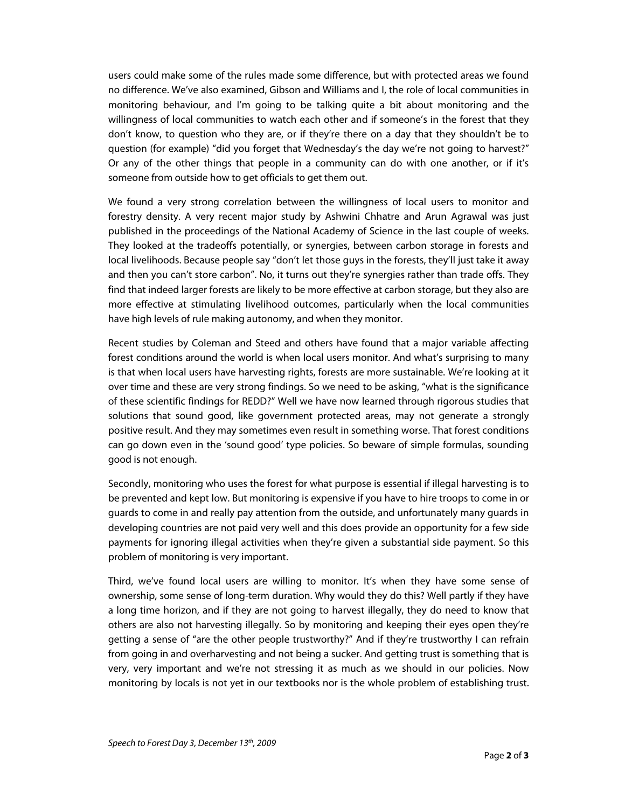users could make some of the rules made some difference, but with protected areas we found no difference. We've also examined, Gibson and Williams and I, the role of local communities in monitoring behaviour, and I'm going to be talking quite a bit about monitoring and the willingness of local communities to watch each other and if someone's in the forest that they don't know, to question who they are, or if they're there on a day that they shouldn't be to question (for example) "did you forget that Wednesday's the day we're not going to harvest?" Or any of the other things that people in a community can do with one another, or if it's someone from outside how to get officials to get them out.

We found a very strong correlation between the willingness of local users to monitor and forestry density. A very recent major study by Ashwini Chhatre and Arun Agrawal was just published in the proceedings of the National Academy of Science in the last couple of weeks. They looked at the tradeoffs potentially, or synergies, between carbon storage in forests and local livelihoods. Because people say "don't let those guys in the forests, they'll just take it away and then you can't store carbon". No, it turns out they're synergies rather than trade offs. They find that indeed larger forests are likely to be more effective at carbon storage, but they also are more effective at stimulating livelihood outcomes, particularly when the local communities have high levels of rule making autonomy, and when they monitor.

Recent studies by Coleman and Steed and others have found that a major variable affecting forest conditions around the world is when local users monitor. And what's surprising to many is that when local users have harvesting rights, forests are more sustainable. We're looking at it over time and these are very strong findings. So we need to be asking, "what is the significance of these scientific findings for REDD?" Well we have now learned through rigorous studies that solutions that sound good, like government protected areas, may not generate a strongly positive result. And they may sometimes even result in something worse. That forest conditions can go down even in the 'sound good' type policies. So beware of simple formulas, sounding good is not enough.

Secondly, monitoring who uses the forest for what purpose is essential if illegal harvesting is to be prevented and kept low. But monitoring is expensive if you have to hire troops to come in or guards to come in and really pay attention from the outside, and unfortunately many guards in developing countries are not paid very well and this does provide an opportunity for a few side payments for ignoring illegal activities when they're given a substantial side payment. So this problem of monitoring is very important.

Third, we've found local users are willing to monitor. It's when they have some sense of ownership, some sense of long-term duration. Why would they do this? Well partly if they have a long time horizon, and if they are not going to harvest illegally, they do need to know that others are also not harvesting illegally. So by monitoring and keeping their eyes open they're getting a sense of "are the other people trustworthy?" And if they're trustworthy I can refrain from going in and overharvesting and not being a sucker. And getting trust is something that is very, very important and we're not stressing it as much as we should in our policies. Now monitoring by locals is not yet in our textbooks nor is the whole problem of establishing trust.